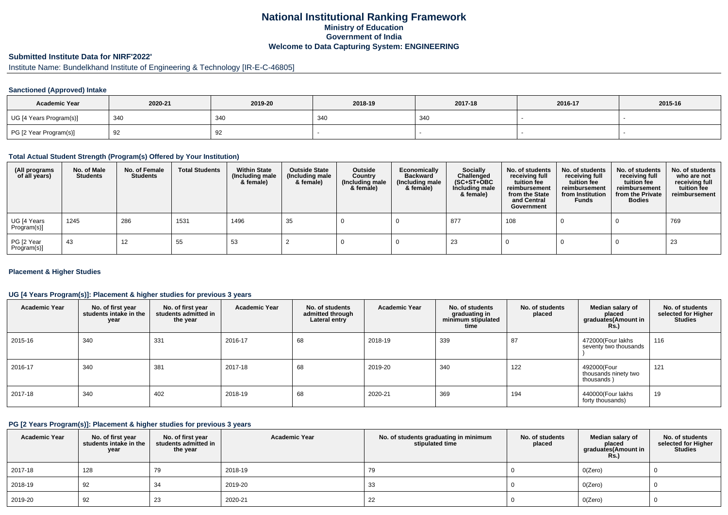# **National Institutional Ranking FrameworkMinistry of Education Government of IndiaWelcome to Data Capturing System: ENGINEERING**

# **Submitted Institute Data for NIRF'2022'**

# Institute Name: Bundelkhand Institute of Engineering & Technology [IR-E-C-46805]

## **Sanctioned (Approved) Intake**

| <b>Academic Year</b>    | 2020-21  | 2019-20 | 2018-19 | 2017-18 | 2016-17 | 2015-16 |
|-------------------------|----------|---------|---------|---------|---------|---------|
| UG [4 Years Program(s)] | 340      | 34C     | 340     | 340     |         |         |
| PG [2 Year Program(s)]  | -Q2<br>ັ | ັ       |         |         |         |         |

### **Total Actual Student Strength (Program(s) Offered by Your Institution)**

| (All programs<br>of all years) | No. of Male<br><b>Students</b> | No. of Female<br><b>Students</b> | <b>Total Students</b> | <b>Within State</b><br>(Including male<br>& female) | <b>Outside State</b><br>(Including male<br>& female) | Outside<br>Country<br>(Including male<br>& female) | Economically<br><b>Backward</b><br>(Including male<br>& female) | <b>Socially</b><br>Challenged<br>$(SC+ST+OBC)$<br>Including male<br>& female) | No. of students<br>receiving full<br>tuition fee<br>reimbursement<br>from the State<br>and Central<br>Government | No. of students<br>receiving full<br>tuition fee<br>reimbursement<br>from Institution<br><b>Funds</b> | No. of students<br>receiving full<br>tuition fee<br>reimbursement<br>from the Private<br><b>Bodies</b> | No. of students<br>who are not<br>receiving full<br>tuition fee<br>reimbursement |
|--------------------------------|--------------------------------|----------------------------------|-----------------------|-----------------------------------------------------|------------------------------------------------------|----------------------------------------------------|-----------------------------------------------------------------|-------------------------------------------------------------------------------|------------------------------------------------------------------------------------------------------------------|-------------------------------------------------------------------------------------------------------|--------------------------------------------------------------------------------------------------------|----------------------------------------------------------------------------------|
| UG [4 Years<br>Program(s)]     | 1245                           | 286                              | 1531                  | 1496                                                | 35                                                   |                                                    |                                                                 | 877                                                                           | 108                                                                                                              |                                                                                                       |                                                                                                        | 769                                                                              |
| PG [2 Year<br>Program(s)]      | -43                            | 12                               | 55                    | 53                                                  |                                                      |                                                    |                                                                 | 23                                                                            |                                                                                                                  |                                                                                                       |                                                                                                        | 23                                                                               |

## **Placement & Higher Studies**

## **UG [4 Years Program(s)]: Placement & higher studies for previous 3 years**

| <b>Academic Year</b> | No. of first year<br>students intake in the<br>year | No. of first year<br>students admitted in<br>the year | <b>Academic Year</b> | No. of students<br>admitted through<br>Lateral entry | <b>Academic Year</b> | No. of students<br>graduating in<br>minimum stipulated<br>time | No. of students<br>placed | Median salary of<br>placed<br>graduates(Amount in<br><b>Rs.</b> ) | No. of students<br>selected for Higher<br><b>Studies</b> |
|----------------------|-----------------------------------------------------|-------------------------------------------------------|----------------------|------------------------------------------------------|----------------------|----------------------------------------------------------------|---------------------------|-------------------------------------------------------------------|----------------------------------------------------------|
| 2015-16              | 340                                                 | 331                                                   | 2016-17              | 68                                                   | 2018-19              | 339                                                            | 87                        | 472000(Four lakhs<br>seventy two thousands                        | 116                                                      |
| 2016-17              | 340                                                 | 381                                                   | 2017-18              | 68                                                   | 2019-20              | 340                                                            | 122                       | 492000(Four<br>thousands ninety two<br>thousands)                 | 121                                                      |
| 2017-18              | 340                                                 | 402                                                   | 2018-19              | 68                                                   | 2020-21              | 369                                                            | 194                       | 440000(Four lakhs<br>forty thousands)                             | 19                                                       |

#### **PG [2 Years Program(s)]: Placement & higher studies for previous 3 years**

| <b>Academic Year</b> | No. of first year<br>students intake in the<br>year | No. of first year<br>students admitted in<br>the year | <b>Academic Year</b> | No. of students graduating in minimum<br>stipulated time | No. of students<br>placed | Median salary of<br>placed<br>graduates(Amount in<br><b>Rs.)</b> | No. of students<br>selected for Higher<br><b>Studies</b> |
|----------------------|-----------------------------------------------------|-------------------------------------------------------|----------------------|----------------------------------------------------------|---------------------------|------------------------------------------------------------------|----------------------------------------------------------|
| 2017-18              | 128                                                 | 79                                                    | 2018-19              | 79                                                       |                           | O(Zero)                                                          |                                                          |
| 2018-19              | 92                                                  | 34                                                    | 2019-20              | 33                                                       |                           | O(Zero)                                                          |                                                          |
| 2019-20              | 92                                                  | 23                                                    | 2020-21              | 22                                                       |                           | O(Zero)                                                          | υ                                                        |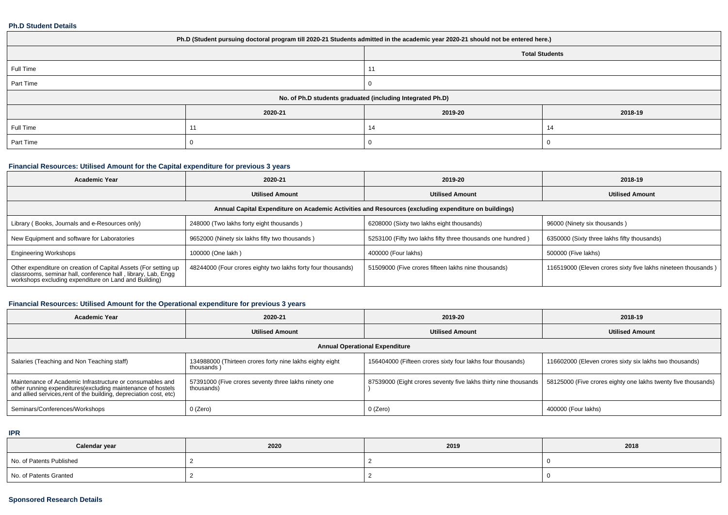#### **Ph.D Student Details**

| Ph.D (Student pursuing doctoral program till 2020-21 Students admitted in the academic year 2020-21 should not be entered here.) |             |                                                            |         |  |  |  |  |
|----------------------------------------------------------------------------------------------------------------------------------|-------------|------------------------------------------------------------|---------|--|--|--|--|
| <b>Total Students</b>                                                                                                            |             |                                                            |         |  |  |  |  |
| Full Time                                                                                                                        |             | 11                                                         |         |  |  |  |  |
| Part Time                                                                                                                        |             |                                                            |         |  |  |  |  |
|                                                                                                                                  |             | No. of Ph.D students graduated (including Integrated Ph.D) |         |  |  |  |  |
|                                                                                                                                  | 2020-21     | 2019-20                                                    | 2018-19 |  |  |  |  |
| Full Time                                                                                                                        | $1^{\circ}$ | 14                                                         | 14      |  |  |  |  |
| Part Time                                                                                                                        |             |                                                            |         |  |  |  |  |

# **Financial Resources: Utilised Amount for the Capital expenditure for previous 3 years**

| <b>Academic Year</b>                                                                                                                                                                      | 2020-21                                                      | 2019-20                                                     | 2018-19                                                       |  |  |  |  |  |
|-------------------------------------------------------------------------------------------------------------------------------------------------------------------------------------------|--------------------------------------------------------------|-------------------------------------------------------------|---------------------------------------------------------------|--|--|--|--|--|
|                                                                                                                                                                                           | <b>Utilised Amount</b>                                       | <b>Utilised Amount</b>                                      | <b>Utilised Amount</b>                                        |  |  |  |  |  |
| Annual Capital Expenditure on Academic Activities and Resources (excluding expenditure on buildings)                                                                                      |                                                              |                                                             |                                                               |  |  |  |  |  |
| Library (Books, Journals and e-Resources only)<br>248000 (Two lakhs forty eight thousands)                                                                                                |                                                              | 6208000 (Sixty two lakhs eight thousands)                   | 96000 (Ninety six thousands)                                  |  |  |  |  |  |
| New Equipment and software for Laboratories                                                                                                                                               | 9652000 (Ninety six lakhs fifty two thousands)               | 5253100 (Fifty two lakhs fifty three thousands one hundred) | 6350000 (Sixty three lakhs fifty thousands)                   |  |  |  |  |  |
| <b>Engineering Workshops</b>                                                                                                                                                              | 100000 (One lakh)                                            | 400000 (Four lakhs)                                         | 500000 (Five lakhs)                                           |  |  |  |  |  |
| Other expenditure on creation of Capital Assets (For setting up<br>classrooms, seminar hall, conference hall, library, Lab, Engg<br>workshops excluding expenditure on Land and Building) | 48244000 (Four crores eighty two lakhs forty four thousands) | 51509000 (Five crores fifteen lakhs nine thousands)         | 116519000 (Eleven crores sixty five lakhs nineteen thousands) |  |  |  |  |  |

# **Financial Resources: Utilised Amount for the Operational expenditure for previous 3 years**

| <b>Academic Year</b>                                                                                                                                                                            | 2020-21                                                                | 2019-20                                                         | 2018-19                                                       |  |  |  |  |  |
|-------------------------------------------------------------------------------------------------------------------------------------------------------------------------------------------------|------------------------------------------------------------------------|-----------------------------------------------------------------|---------------------------------------------------------------|--|--|--|--|--|
|                                                                                                                                                                                                 | <b>Utilised Amount</b>                                                 | <b>Utilised Amount</b>                                          | <b>Utilised Amount</b>                                        |  |  |  |  |  |
| <b>Annual Operational Expenditure</b>                                                                                                                                                           |                                                                        |                                                                 |                                                               |  |  |  |  |  |
| Salaries (Teaching and Non Teaching staff)                                                                                                                                                      | 134988000 (Thirteen crores forty nine lakhs eighty eight<br>thousands) | 156404000 (Fifteen crores sixty four lakhs four thousands)      | 116602000 (Eleven crores sixty six lakhs two thousands)       |  |  |  |  |  |
| Maintenance of Academic Infrastructure or consumables and<br>other running expenditures (excluding maintenance of hostels<br>and allied services, rent of the building, depreciation cost, etc) | 57391000 (Five crores seventy three lakhs ninety one<br>thousands)     | 87539000 (Eight crores seventy five lakhs thirty nine thousands | 58125000 (Five crores eighty one lakhs twenty five thousands) |  |  |  |  |  |
| Seminars/Conferences/Workshops                                                                                                                                                                  | 0 (Zero)                                                               | 0 (Zero)                                                        | 400000 (Four lakhs)                                           |  |  |  |  |  |

**IPR**

| Calendar year            | 2020 | 2019 | 2018 |
|--------------------------|------|------|------|
| No. of Patents Published |      |      |      |
| No. of Patents Granted   |      |      |      |

## **Sponsored Research Details**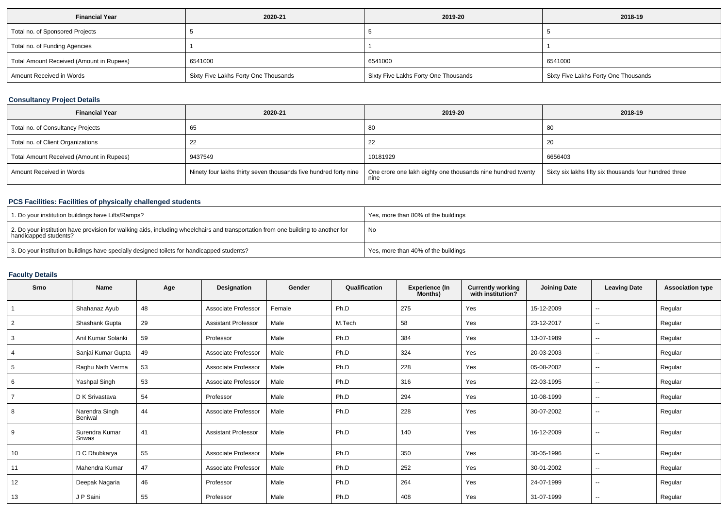| <b>Financial Year</b>                    | 2020-21                              | 2019-20                              | 2018-19                              |
|------------------------------------------|--------------------------------------|--------------------------------------|--------------------------------------|
| Total no. of Sponsored Projects          |                                      |                                      |                                      |
| Total no. of Funding Agencies            |                                      |                                      |                                      |
| Total Amount Received (Amount in Rupees) | 6541000                              | 6541000                              | 6541000                              |
| Amount Received in Words                 | Sixty Five Lakhs Forty One Thousands | Sixty Five Lakhs Forty One Thousands | Sixty Five Lakhs Forty One Thousands |

# **Consultancy Project Details**

| <b>Financial Year</b>                    | 2020-21                                                          | 2019-20                                                             | 2018-19                                                |
|------------------------------------------|------------------------------------------------------------------|---------------------------------------------------------------------|--------------------------------------------------------|
| Total no. of Consultancy Projects        | 65                                                               | 80                                                                  | -80                                                    |
| Total no. of Client Organizations        |                                                                  | 22                                                                  | -20                                                    |
| Total Amount Received (Amount in Rupees) | 9437549                                                          | 10181929                                                            | 6656403                                                |
| Amount Received in Words                 | Ninety four lakhs thirty seven thousands five hundred forty nine | One crore one lakh eighty one thousands nine hundred twenty<br>nine | Sixty six lakhs fifty six thousands four hundred three |

# **PCS Facilities: Facilities of physically challenged students**

| 1. Do your institution buildings have Lifts/Ramps?                                                                                                         | Yes, more than 80% of the buildings |
|------------------------------------------------------------------------------------------------------------------------------------------------------------|-------------------------------------|
| 2. Do your institution have provision for walking aids, including wheelchairs and transportation from one building to another for<br>handicapped students? | No                                  |
| 3. Do your institution buildings have specially designed toilets for handicapped students?                                                                 | Yes, more than 40% of the buildings |

## **Faculty Details**

| Srno | <b>Name</b>                     | Age | Designation                | Gender | Qualification | <b>Experience (In</b><br>Months) | <b>Currently working</b><br>with institution? | <b>Joining Date</b> | <b>Leaving Date</b>      | <b>Association type</b> |
|------|---------------------------------|-----|----------------------------|--------|---------------|----------------------------------|-----------------------------------------------|---------------------|--------------------------|-------------------------|
|      | Shahanaz Ayub                   | 48  | Associate Professor        | Female | Ph.D          | 275                              | Yes                                           | 15-12-2009          | $\sim$                   | Regular                 |
| 2    | Shashank Gupta                  | 29  | <b>Assistant Professor</b> | Male   | M.Tech        | 58                               | Yes                                           | 23-12-2017          | $\overline{\phantom{a}}$ | Regular                 |
| 3    | Anil Kumar Solanki              | 59  | Professor                  | Male   | Ph.D          | 384                              | Yes                                           | 13-07-1989          | $\overline{\phantom{a}}$ | Regular                 |
| 4    | Sanjai Kumar Gupta              | 49  | Associate Professor        | Male   | Ph.D          | 324                              | Yes                                           | 20-03-2003          | $\sim$                   | Regular                 |
| 5    | Raghu Nath Verma                | 53  | Associate Professor        | Male   | Ph.D          | 228                              | Yes                                           | 05-08-2002          | $\sim$                   | Regular                 |
| 6    | Yashpal Singh                   | 53  | Associate Professor        | Male   | Ph.D          | 316                              | Yes                                           | 22-03-1995          | $\overline{\phantom{a}}$ | Regular                 |
|      | D K Srivastava                  | 54  | Professor                  | Male   | Ph.D          | 294                              | Yes                                           | 10-08-1999          | $\sim$                   | Regular                 |
| 8    | Narendra Singh<br>Beniwal       | 44  | Associate Professor        | Male   | Ph.D          | 228                              | Yes                                           | 30-07-2002          | $\sim$                   | Regular                 |
| 9    | Surendra Kumar<br><b>Sriwas</b> | 41  | <b>Assistant Professor</b> | Male   | Ph.D          | 140                              | Yes                                           | 16-12-2009          | $\sim$                   | Regular                 |
| 10   | D C Dhubkarya                   | 55  | Associate Professor        | Male   | Ph.D          | 350                              | Yes                                           | 30-05-1996          | $\overline{\phantom{a}}$ | Regular                 |
| 11   | Mahendra Kumar                  | 47  | Associate Professor        | Male   | Ph.D          | 252                              | Yes                                           | 30-01-2002          | $\sim$                   | Regular                 |
| 12   | Deepak Nagaria                  | 46  | Professor                  | Male   | Ph.D          | 264                              | Yes                                           | 24-07-1999          | $\sim$                   | Regular                 |
| 13   | J P Saini                       | 55  | Professor                  | Male   | Ph.D          | 408                              | Yes                                           | 31-07-1999          | $\sim$                   | Regular                 |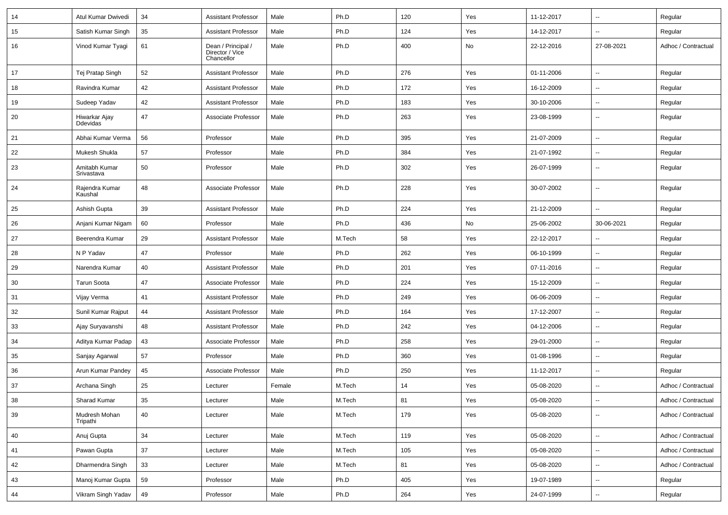| 14 | Atul Kumar Dwivedi                | 34 | <b>Assistant Professor</b>                          | Male   | Ph.D   | 120 | Yes | 11-12-2017 | $\overline{\phantom{a}}$ | Regular             |
|----|-----------------------------------|----|-----------------------------------------------------|--------|--------|-----|-----|------------|--------------------------|---------------------|
| 15 | Satish Kumar Singh                | 35 | <b>Assistant Professor</b>                          | Male   | Ph.D   | 124 | Yes | 14-12-2017 | $\overline{\phantom{a}}$ | Regular             |
| 16 | Vinod Kumar Tyagi                 | 61 | Dean / Principal /<br>Director / Vice<br>Chancellor | Male   | Ph.D   | 400 | No  | 22-12-2016 | 27-08-2021               | Adhoc / Contractual |
| 17 | Tej Pratap Singh                  | 52 | <b>Assistant Professor</b>                          | Male   | Ph.D   | 276 | Yes | 01-11-2006 | $\overline{\phantom{a}}$ | Regular             |
| 18 | Ravindra Kumar                    | 42 | <b>Assistant Professor</b>                          | Male   | Ph.D   | 172 | Yes | 16-12-2009 | $\overline{\phantom{a}}$ | Regular             |
| 19 | Sudeep Yadav                      | 42 | <b>Assistant Professor</b>                          | Male   | Ph.D   | 183 | Yes | 30-10-2006 | $\overline{\phantom{a}}$ | Regular             |
| 20 | Hiwarkar Ajay<br><b>D</b> devidas | 47 | Associate Professor                                 | Male   | Ph.D   | 263 | Yes | 23-08-1999 | $\overline{\phantom{a}}$ | Regular             |
| 21 | Abhai Kumar Verma                 | 56 | Professor                                           | Male   | Ph.D   | 395 | Yes | 21-07-2009 | $\ddotsc$                | Regular             |
| 22 | Mukesh Shukla                     | 57 | Professor                                           | Male   | Ph.D   | 384 | Yes | 21-07-1992 | $\ddot{\phantom{a}}$     | Regular             |
| 23 | Amitabh Kumar<br>Srivastava       | 50 | Professor                                           | Male   | Ph.D   | 302 | Yes | 26-07-1999 | $\overline{\phantom{a}}$ | Regular             |
| 24 | Rajendra Kumar<br>Kaushal         | 48 | Associate Professor                                 | Male   | Ph.D   | 228 | Yes | 30-07-2002 | $\overline{\phantom{a}}$ | Regular             |
| 25 | Ashish Gupta                      | 39 | <b>Assistant Professor</b>                          | Male   | Ph.D   | 224 | Yes | 21-12-2009 | $\overline{\phantom{a}}$ | Regular             |
| 26 | Anjani Kumar Nigam                | 60 | Professor                                           | Male   | Ph.D   | 436 | No  | 25-06-2002 | 30-06-2021               | Regular             |
| 27 | Beerendra Kumar                   | 29 | <b>Assistant Professor</b>                          | Male   | M.Tech | 58  | Yes | 22-12-2017 | $\overline{\phantom{a}}$ | Regular             |
| 28 | N P Yadav                         | 47 | Professor                                           | Male   | Ph.D   | 262 | Yes | 06-10-1999 | $\overline{\phantom{a}}$ | Regular             |
| 29 | Narendra Kumar                    | 40 | <b>Assistant Professor</b>                          | Male   | Ph.D   | 201 | Yes | 07-11-2016 | $\overline{\phantom{a}}$ | Regular             |
| 30 | <b>Tarun Soota</b>                | 47 | Associate Professor                                 | Male   | Ph.D   | 224 | Yes | 15-12-2009 | $\ddotsc$                | Regular             |
| 31 | Vijay Verma                       | 41 | <b>Assistant Professor</b>                          | Male   | Ph.D   | 249 | Yes | 06-06-2009 | $\overline{\phantom{a}}$ | Regular             |
| 32 | Sunil Kumar Rajput                | 44 | <b>Assistant Professor</b>                          | Male   | Ph.D   | 164 | Yes | 17-12-2007 | $\overline{\phantom{a}}$ | Regular             |
| 33 | Ajay Suryavanshi                  | 48 | <b>Assistant Professor</b>                          | Male   | Ph.D   | 242 | Yes | 04-12-2006 | $\overline{\phantom{a}}$ | Regular             |
| 34 | Aditya Kumar Padap                | 43 | Associate Professor                                 | Male   | Ph.D   | 258 | Yes | 29-01-2000 | $\overline{\phantom{a}}$ | Regular             |
| 35 | Sanjay Agarwal                    | 57 | Professor                                           | Male   | Ph.D   | 360 | Yes | 01-08-1996 | $\overline{\phantom{a}}$ | Regular             |
| 36 | Arun Kumar Pandey                 | 45 | Associate Professor                                 | Male   | Ph.D   | 250 | Yes | 11-12-2017 | $\overline{\phantom{a}}$ | Regular             |
| 37 | Archana Singh                     | 25 | Lecturer                                            | Female | M.Tech | 14  | Yes | 05-08-2020 | $\overline{\phantom{a}}$ | Adhoc / Contractual |
| 38 | Sharad Kumar                      | 35 | Lecturer                                            | Male   | M.Tech | 81  | Yes | 05-08-2020 | $\overline{\phantom{a}}$ | Adhoc / Contractual |
| 39 | Mudresh Mohan<br>Tripathi         | 40 | Lecturer                                            | Male   | M.Tech | 179 | Yes | 05-08-2020 | $\overline{\phantom{a}}$ | Adhoc / Contractual |
| 40 | Anuj Gupta                        | 34 | Lecturer                                            | Male   | M.Tech | 119 | Yes | 05-08-2020 | $\overline{\phantom{a}}$ | Adhoc / Contractual |
| 41 | Pawan Gupta                       | 37 | Lecturer                                            | Male   | M.Tech | 105 | Yes | 05-08-2020 | ۰.                       | Adhoc / Contractual |
| 42 | Dharmendra Singh                  | 33 | Lecturer                                            | Male   | M.Tech | 81  | Yes | 05-08-2020 | $\overline{\phantom{a}}$ | Adhoc / Contractual |
| 43 | Manoj Kumar Gupta                 | 59 | Professor                                           | Male   | Ph.D   | 405 | Yes | 19-07-1989 | $\overline{\phantom{a}}$ | Regular             |
| 44 | Vikram Singh Yadav                | 49 | Professor                                           | Male   | Ph.D   | 264 | Yes | 24-07-1999 | ۰.                       | Regular             |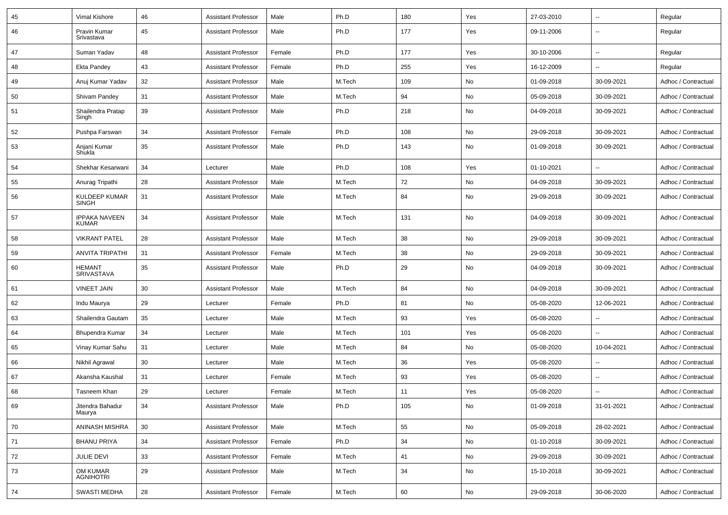| 45 | Vimal Kishore                        | 46 | Assistant Professor        | Male   | Ph.D   | 180 | Yes | 27-03-2010 | $\overline{\phantom{a}}$ | Regular             |
|----|--------------------------------------|----|----------------------------|--------|--------|-----|-----|------------|--------------------------|---------------------|
| 46 | Pravin Kumar<br>Srivastava           | 45 | <b>Assistant Professor</b> | Male   | Ph.D   | 177 | Yes | 09-11-2006 | $\overline{\phantom{a}}$ | Regular             |
| 47 | Suman Yadav                          | 48 | <b>Assistant Professor</b> | Female | Ph.D   | 177 | Yes | 30-10-2006 | $\overline{\phantom{a}}$ | Regular             |
| 48 | <b>Ekta Pandey</b>                   | 43 | <b>Assistant Professor</b> | Female | Ph.D   | 255 | Yes | 16-12-2009 | $\overline{\phantom{a}}$ | Regular             |
| 49 | Anuj Kumar Yadav                     | 32 | <b>Assistant Professor</b> | Male   | M.Tech | 109 | No  | 01-09-2018 | 30-09-2021               | Adhoc / Contractual |
| 50 | Shivam Pandey                        | 31 | <b>Assistant Professor</b> | Male   | M.Tech | 94  | No  | 05-09-2018 | 30-09-2021               | Adhoc / Contractual |
| 51 | Shailendra Pratap<br>Singh           | 39 | <b>Assistant Professor</b> | Male   | Ph.D   | 218 | No  | 04-09-2018 | 30-09-2021               | Adhoc / Contractual |
| 52 | Pushpa Farswan                       | 34 | <b>Assistant Professor</b> | Female | Ph.D   | 108 | No  | 29-09-2018 | 30-09-2021               | Adhoc / Contractual |
| 53 | Anjani Kumar<br>Shukla               | 35 | <b>Assistant Professor</b> | Male   | Ph.D   | 143 | No  | 01-09-2018 | 30-09-2021               | Adhoc / Contractual |
| 54 | Shekhar Kesarwani                    | 34 | Lecturer                   | Male   | Ph.D   | 108 | Yes | 01-10-2021 | $\mathbf{u}$             | Adhoc / Contractual |
| 55 | Anurag Tripathi                      | 28 | Assistant Professor        | Male   | M.Tech | 72  | No  | 04-09-2018 | 30-09-2021               | Adhoc / Contractual |
| 56 | KULDEEP KUMAR<br><b>SINGH</b>        | 31 | <b>Assistant Professor</b> | Male   | M.Tech | 84  | No  | 29-09-2018 | 30-09-2021               | Adhoc / Contractual |
| 57 | <b>IPPAKA NAVEEN</b><br><b>KUMAR</b> | 34 | <b>Assistant Professor</b> | Male   | M.Tech | 131 | No  | 04-09-2018 | 30-09-2021               | Adhoc / Contractual |
| 58 | <b>VIKRANT PATEL</b>                 | 28 | <b>Assistant Professor</b> | Male   | M.Tech | 38  | No  | 29-09-2018 | 30-09-2021               | Adhoc / Contractual |
| 59 | <b>ANVITA TRIPATHI</b>               | 31 | <b>Assistant Professor</b> | Female | M.Tech | 38  | No  | 29-09-2018 | 30-09-2021               | Adhoc / Contractual |
| 60 | <b>HEMANT</b><br><b>SRIVASTAVA</b>   | 35 | <b>Assistant Professor</b> | Male   | Ph.D   | 29  | No  | 04-09-2018 | 30-09-2021               | Adhoc / Contractual |
| 61 | <b>VINEET JAIN</b>                   | 30 | <b>Assistant Professor</b> | Male   | M.Tech | 84  | No  | 04-09-2018 | 30-09-2021               | Adhoc / Contractual |
| 62 | Indu Maurya                          | 29 | Lecturer                   | Female | Ph.D   | 81  | No  | 05-08-2020 | 12-06-2021               | Adhoc / Contractual |
| 63 | Shailendra Gautam                    | 35 | Lecturer                   | Male   | M.Tech | 93  | Yes | 05-08-2020 | $\sim$                   | Adhoc / Contractual |
| 64 | Bhupendra Kumar                      | 34 | Lecturer                   | Male   | M.Tech | 101 | Yes | 05-08-2020 | $\overline{\phantom{a}}$ | Adhoc / Contractual |
| 65 | Vinay Kumar Sahu                     | 31 | Lecturer                   | Male   | M.Tech | 84  | No  | 05-08-2020 | 10-04-2021               | Adhoc / Contractual |
| 66 | Nikhil Agrawal                       | 30 | Lecturer                   | Male   | M.Tech | 36  | Yes | 05-08-2020 | $\sim$                   | Adhoc / Contractual |
| 67 | Akansha Kaushal                      | 31 | Lecturer                   | Female | M.Tech | 93  | Yes | 05-08-2020 | $\overline{\phantom{a}}$ | Adhoc / Contractual |
| 68 | Tasneem Khan                         | 29 | Lecturer                   | Female | M.Tech | 11  | Yes | 05-08-2020 | $\overline{\phantom{a}}$ | Adhoc / Contractual |
| 69 | Jitendra Bahadur<br>Maurya           | 34 | Assistant Professor        | Male   | Ph.D   | 105 | No  | 01-09-2018 | 31-01-2021               | Adhoc / Contractual |
| 70 | ANINASH MISHRA                       | 30 | <b>Assistant Professor</b> | Male   | M.Tech | 55  | No  | 05-09-2018 | 28-02-2021               | Adhoc / Contractual |
| 71 | <b>BHANU PRIYA</b>                   | 34 | <b>Assistant Professor</b> | Female | Ph.D   | 34  | No  | 01-10-2018 | 30-09-2021               | Adhoc / Contractual |
| 72 | JULIE DEVI                           | 33 | <b>Assistant Professor</b> | Female | M.Tech | 41  | No  | 29-09-2018 | 30-09-2021               | Adhoc / Contractual |
| 73 | OM KUMAR<br><b>AGNIHOTRI</b>         | 29 | <b>Assistant Professor</b> | Male   | M.Tech | 34  | No  | 15-10-2018 | 30-09-2021               | Adhoc / Contractual |
| 74 | <b>SWASTI MEDHA</b>                  | 28 | <b>Assistant Professor</b> | Female | M.Tech | 60  | No  | 29-09-2018 | 30-06-2020               | Adhoc / Contractual |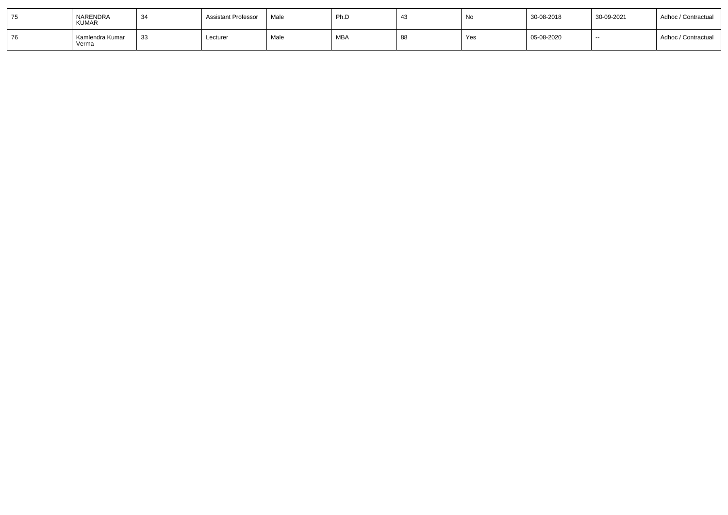|    | NARENDRA<br><b>KUMAR</b> | 34  | <b>Assistant Professor</b> | Male | Ph.D       | No  | 30-08-2018 | 30-09-2021 | Adhoc / Contractual |
|----|--------------------------|-----|----------------------------|------|------------|-----|------------|------------|---------------------|
| 76 | Kamlendra Kumar<br>Verma | -33 | Lecturer                   | Male | <b>MBA</b> | Yes | 05-08-2020 | $- -$      | Adhoc / Contractual |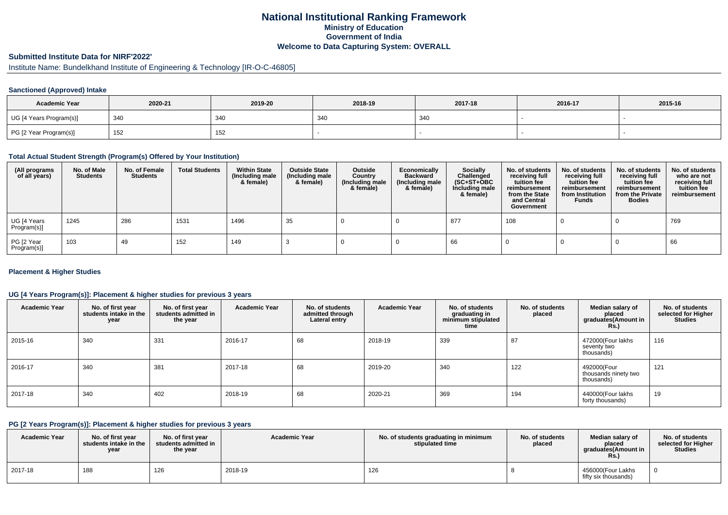# **National Institutional Ranking FrameworkMinistry of Education Government of IndiaWelcome to Data Capturing System: OVERALL**

# **Submitted Institute Data for NIRF'2022'**

# Institute Name: Bundelkhand Institute of Engineering & Technology [IR-O-C-46805]

## **Sanctioned (Approved) Intake**

| <b>Academic Year</b>    | 2020-21 | 2019-20 | 2018-19 | 2017-18 | 2016-17 | 2015-16 |
|-------------------------|---------|---------|---------|---------|---------|---------|
| UG [4 Years Program(s)] | 340     | 34C     | 340     | 340     |         |         |
| PG [2 Year Program(s)]  | 152     | 152     |         |         |         |         |

#### **Total Actual Student Strength (Program(s) Offered by Your Institution)**

| (All programs<br>of all years) | No. of Male<br><b>Students</b> | No. of Female<br><b>Students</b> | <b>Total Students</b> | <b>Within State</b><br>(Including male<br>& female) | <b>Outside State</b><br>(Including male<br>& female) | Outside<br>Country<br>(Including male<br>& female) | Economically<br><b>Backward</b><br>(Including male<br>& female) | Socially<br>Challenged<br>$(SC+ST+OBC)$<br>Including male<br>& female) | No. of students<br>receiving full<br>tuition fee<br>reimbursement<br>from the State<br>and Central<br>Government | No. of students<br>receiving full<br>tuition fee<br>reimbursement<br>from Institution<br><b>Funds</b> | No. of students<br>receiving full<br>tuition fee<br>reimbursement<br>from the Private<br><b>Bodies</b> | No. of students<br>who are not<br>receiving full<br>tuition fee<br>reimbursement |
|--------------------------------|--------------------------------|----------------------------------|-----------------------|-----------------------------------------------------|------------------------------------------------------|----------------------------------------------------|-----------------------------------------------------------------|------------------------------------------------------------------------|------------------------------------------------------------------------------------------------------------------|-------------------------------------------------------------------------------------------------------|--------------------------------------------------------------------------------------------------------|----------------------------------------------------------------------------------|
| UG [4 Years<br>Program(s)]     | 1245                           | 286                              | 1531                  | 1496                                                | 35                                                   |                                                    |                                                                 | 877                                                                    | 108                                                                                                              |                                                                                                       |                                                                                                        | 769                                                                              |
| PG [2 Year<br>Program(s)]      | 103                            | 49                               | 152                   | 149                                                 |                                                      |                                                    |                                                                 | 66                                                                     |                                                                                                                  |                                                                                                       |                                                                                                        | 66                                                                               |

## **Placement & Higher Studies**

## **UG [4 Years Program(s)]: Placement & higher studies for previous 3 years**

| <b>Academic Year</b> | No. of first year<br>students intake in the<br>year | No. of first year<br>students admitted in<br>the year | <b>Academic Year</b> | No. of students<br>admitted through<br>Lateral entry | <b>Academic Year</b> | No. of students<br>graduating in<br>minimum stipulated<br>time | No. of students<br>placed | Median salary of<br>placed<br>graduates(Amount in<br><b>Rs.</b> ) | No. of students<br>selected for Higher<br><b>Studies</b> |
|----------------------|-----------------------------------------------------|-------------------------------------------------------|----------------------|------------------------------------------------------|----------------------|----------------------------------------------------------------|---------------------------|-------------------------------------------------------------------|----------------------------------------------------------|
| 2015-16              | 340                                                 | 331                                                   | 2016-17              | 68                                                   | 2018-19              | 339                                                            | 87                        | 472000(Four lakhs<br>seventy two<br>thousands)                    | 116                                                      |
| 2016-17              | 340                                                 | 381                                                   | 2017-18              | 68                                                   | 2019-20              | 340                                                            | 122                       | 492000(Four<br>thousands ninety two<br>thousands)                 | 121                                                      |
| 2017-18              | 340                                                 | 402                                                   | 2018-19              | 68                                                   | 2020-21              | 369                                                            | 194                       | 440000(Four lakhs<br>forty thousands)                             | 19                                                       |

#### **PG [2 Years Program(s)]: Placement & higher studies for previous 3 years**

| <b>Academic Year</b> | No. of first vear<br>students intake in the<br>year | No. of first vear<br>students admitted in<br>the year | <b>Academic Year</b> | No. of students graduating in minimum<br>stipulated time | No. of students<br>placed | Median salary of<br>placed<br>graduates(Amount in<br><b>Rs.</b> ) | No. of students<br>selected for Higher<br><b>Studies</b> |
|----------------------|-----------------------------------------------------|-------------------------------------------------------|----------------------|----------------------------------------------------------|---------------------------|-------------------------------------------------------------------|----------------------------------------------------------|
| 2017-18              | 188                                                 | 126                                                   | 2018-19              | 126                                                      |                           | 456000(Four Lakhs<br>fifty six thousands)                         |                                                          |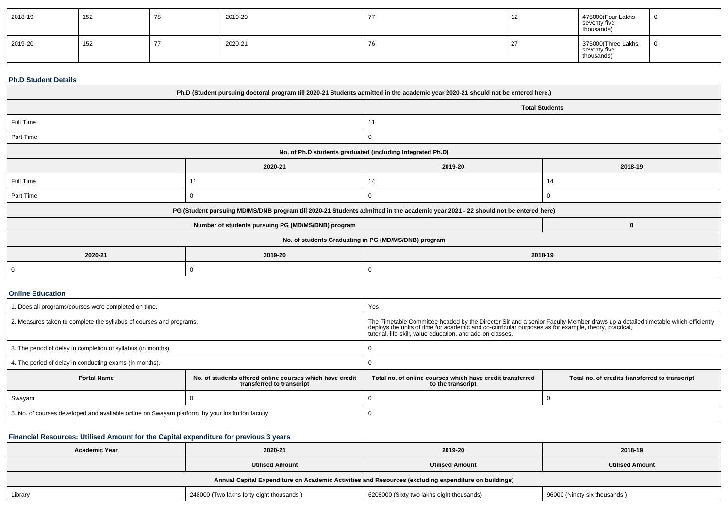| 2018-19 | 152 | 78 | 2019-20 |                                | 475000(Four Lakhs<br>seventy five<br>thousands)  |  |
|---------|-----|----|---------|--------------------------------|--------------------------------------------------|--|
| 2019-20 | 152 |    | 2020-21 | $\overline{\phantom{a}}$<br>70 | 375000(Three Lakhs<br>seventy five<br>thousands) |  |

#### **Ph.D Student Details**

| Ph.D (Student pursuing doctoral program till 2020-21 Students admitted in the academic year 2020-21 should not be entered here.) |                                                                                                                                  |          |          |  |  |  |  |  |
|----------------------------------------------------------------------------------------------------------------------------------|----------------------------------------------------------------------------------------------------------------------------------|----------|----------|--|--|--|--|--|
|                                                                                                                                  | <b>Total Students</b>                                                                                                            |          |          |  |  |  |  |  |
| Full Time                                                                                                                        |                                                                                                                                  | 11       |          |  |  |  |  |  |
| Part Time                                                                                                                        |                                                                                                                                  | 0        |          |  |  |  |  |  |
| No. of Ph.D students graduated (including Integrated Ph.D)                                                                       |                                                                                                                                  |          |          |  |  |  |  |  |
|                                                                                                                                  | 2020-21                                                                                                                          | 2019-20  | 2018-19  |  |  |  |  |  |
| Full Time                                                                                                                        | 11                                                                                                                               | 14<br>14 |          |  |  |  |  |  |
| Part Time                                                                                                                        |                                                                                                                                  | 0        |          |  |  |  |  |  |
|                                                                                                                                  | PG (Student pursuing MD/MS/DNB program till 2020-21 Students admitted in the academic year 2021 - 22 should not be entered here) |          |          |  |  |  |  |  |
|                                                                                                                                  | Number of students pursuing PG (MD/MS/DNB) program                                                                               |          | $\bf{0}$ |  |  |  |  |  |
| No. of students Graduating in PG (MD/MS/DNB) program                                                                             |                                                                                                                                  |          |          |  |  |  |  |  |
| 2020-21                                                                                                                          | 2019-20                                                                                                                          | 2018-19  |          |  |  |  |  |  |
|                                                                                                                                  |                                                                                                                                  | 0        |          |  |  |  |  |  |

## **Online Education**

| 1. Does all programs/courses were completed on time.                                            |                                                                                       | Yes                                                                                                                                                                                                                                                                                             |                                                |  |  |  |
|-------------------------------------------------------------------------------------------------|---------------------------------------------------------------------------------------|-------------------------------------------------------------------------------------------------------------------------------------------------------------------------------------------------------------------------------------------------------------------------------------------------|------------------------------------------------|--|--|--|
| 2. Measures taken to complete the syllabus of courses and programs.                             |                                                                                       | The Timetable Committee headed by the Director Sir and a senior Faculty Member draws up a detailed timetable which efficiently<br>deploys the units of time for academic and co-curricular purposes as for example, theory, pract<br>tutorial, life-skill, value education, and add-on classes. |                                                |  |  |  |
| 3. The period of delay in completion of syllabus (in months).                                   |                                                                                       |                                                                                                                                                                                                                                                                                                 |                                                |  |  |  |
| 4. The period of delay in conducting exams (in months).                                         |                                                                                       |                                                                                                                                                                                                                                                                                                 |                                                |  |  |  |
| <b>Portal Name</b>                                                                              | No. of students offered online courses which have credit<br>transferred to transcript | Total no, of online courses which have credit transferred<br>to the transcript                                                                                                                                                                                                                  | Total no. of credits transferred to transcript |  |  |  |
| Swayam                                                                                          |                                                                                       |                                                                                                                                                                                                                                                                                                 |                                                |  |  |  |
| 5. No. of courses developed and available online on Swayam platform by your institution faculty |                                                                                       |                                                                                                                                                                                                                                                                                                 |                                                |  |  |  |

# **Financial Resources: Utilised Amount for the Capital expenditure for previous 3 years**

| <b>Academic Year</b> | 2020-21                                                                                              | 2019-20                                   | 2018-19                      |  |  |  |  |  |  |
|----------------------|------------------------------------------------------------------------------------------------------|-------------------------------------------|------------------------------|--|--|--|--|--|--|
|                      | <b>Utilised Amount</b>                                                                               | <b>Utilised Amount</b>                    | <b>Utilised Amount</b>       |  |  |  |  |  |  |
|                      | Annual Capital Expenditure on Academic Activities and Resources (excluding expenditure on buildings) |                                           |                              |  |  |  |  |  |  |
| Library              | 248000 (Two lakhs forty eight thousands)                                                             | 6208000 (Sixty two lakhs eight thousands) | 96000 (Ninety six thousands) |  |  |  |  |  |  |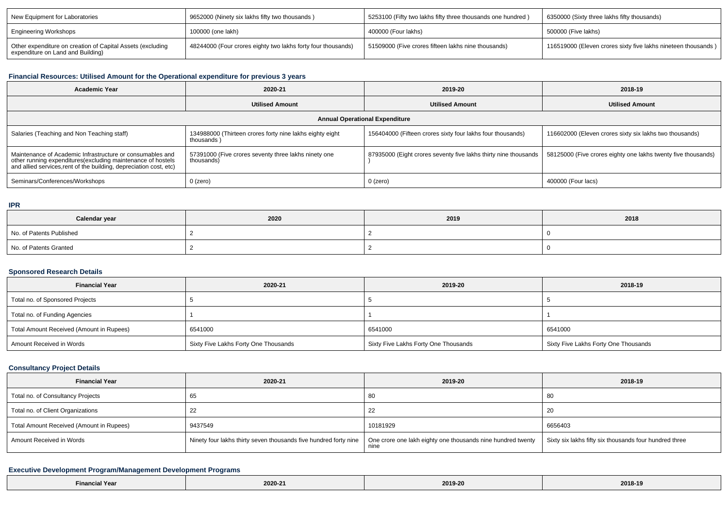| New Equipment for Laboratories                                                                  | 9652000 (Ninety six lakhs fifty two thousands)               | 5253100 (Fifty two lakhs fifty three thousands one hundred) | 1 6350000 (Sixty three lakhs fifty thousands)                 |
|-------------------------------------------------------------------------------------------------|--------------------------------------------------------------|-------------------------------------------------------------|---------------------------------------------------------------|
| <b>Engineering Workshops</b>                                                                    | 100000 (one lakh)                                            | 400000 (Four lakhs)                                         | 500000 (Five lakhs)                                           |
| Other expenditure on creation of Capital Assets (excluding<br>expenditure on Land and Building) | 48244000 (Four crores eighty two lakhs forty four thousands) | 51509000 (Five crores fifteen lakhs nine thousands)         | 116519000 (Eleven crores sixty five lakhs nineteen thousands) |

# **Financial Resources: Utilised Amount for the Operational expenditure for previous 3 years**

| <b>Academic Year</b>                                                                                                                                                                           | 2020-21                                                                                                                             | 2019-20                                                         | 2018-19                                                       |  |  |  |  |  |
|------------------------------------------------------------------------------------------------------------------------------------------------------------------------------------------------|-------------------------------------------------------------------------------------------------------------------------------------|-----------------------------------------------------------------|---------------------------------------------------------------|--|--|--|--|--|
|                                                                                                                                                                                                | <b>Utilised Amount</b>                                                                                                              | <b>Utilised Amount</b>                                          | <b>Utilised Amount</b>                                        |  |  |  |  |  |
| <b>Annual Operational Expenditure</b>                                                                                                                                                          |                                                                                                                                     |                                                                 |                                                               |  |  |  |  |  |
| Salaries (Teaching and Non Teaching staff)                                                                                                                                                     | 156404000 (Fifteen crores sixty four lakhs four thousands)<br>134988000 (Thirteen crores forty nine lakhs eighty eight<br>thousands |                                                                 | 116602000 (Eleven crores sixty six lakhs two thousands)       |  |  |  |  |  |
| Maintenance of Academic Infrastructure or consumables and<br>other running expenditures(excluding maintenance of hostels<br>and allied services, rent of the building, depreciation cost, etc) | 57391000 (Five crores seventy three lakhs ninety one<br>thousands)                                                                  | 87935000 (Eight crores seventy five lakhs thirty nine thousands | 58125000 (Five crores eighty one lakhs twenty five thousands) |  |  |  |  |  |
| Seminars/Conferences/Workshops                                                                                                                                                                 | $0$ (zero)                                                                                                                          | $0$ (zero)                                                      | 400000 (Four lacs)                                            |  |  |  |  |  |

#### **IPR**

| Calendar year            | 2020 | 2019 | 2018 |  |
|--------------------------|------|------|------|--|
| No. of Patents Published |      |      |      |  |
| No. of Patents Granted   |      |      |      |  |

## **Sponsored Research Details**

| <b>Financial Year</b>                    | 2020-21                              | 2019-20                              | 2018-19                              |  |
|------------------------------------------|--------------------------------------|--------------------------------------|--------------------------------------|--|
| Total no. of Sponsored Projects          |                                      |                                      |                                      |  |
| Total no. of Funding Agencies            |                                      |                                      |                                      |  |
| Total Amount Received (Amount in Rupees) | 6541000                              | 6541000                              | 6541000                              |  |
| Amount Received in Words                 | Sixty Five Lakhs Forty One Thousands | Sixty Five Lakhs Forty One Thousands | Sixty Five Lakhs Forty One Thousands |  |

## **Consultancy Project Details**

| <b>Financial Year</b>                    | 2020-21                                                          | 2019-20                                                             | 2018-19                                                |
|------------------------------------------|------------------------------------------------------------------|---------------------------------------------------------------------|--------------------------------------------------------|
| Total no. of Consultancy Projects        | 65                                                               | 80                                                                  | 80                                                     |
| Total no. of Client Organizations        |                                                                  |                                                                     | 20                                                     |
| Total Amount Received (Amount in Rupees) | 9437549                                                          | 10181929                                                            | 6656403                                                |
| Amount Received in Words                 | Ninety four lakhs thirty seven thousands five hundred forty nine | One crore one lakh eighty one thousands nine hundred twenty<br>nine | Sixty six lakhs fifty six thousands four hundred three |

# **Executive Development Program/Management Development Programs**

| <b>Financial Year</b> |         | 2019-20 | the contract of the contract of the |
|-----------------------|---------|---------|-------------------------------------|
|                       | 2020-21 |         | 2018-19                             |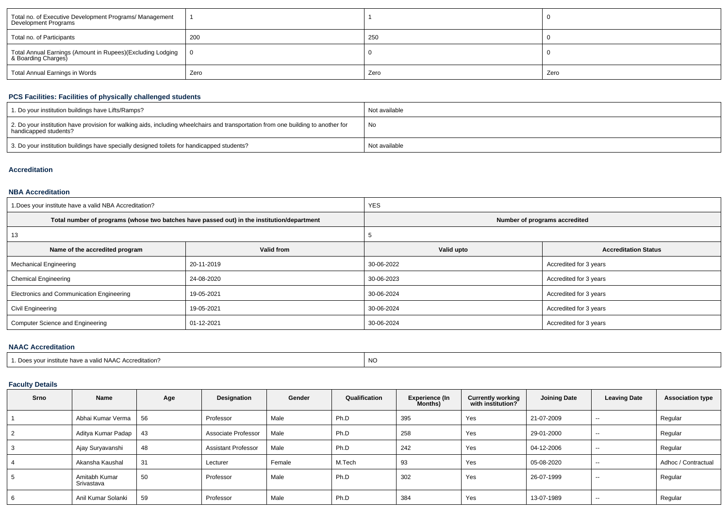| Total no. of Executive Development Programs/ Management<br>Development Programs   |      |      |      |
|-----------------------------------------------------------------------------------|------|------|------|
| Total no. of Participants                                                         | 200  | 250  |      |
| Total Annual Earnings (Amount in Rupees)(Excluding Lodging<br>& Boarding Charges) |      |      |      |
| Total Annual Earnings in Words                                                    | Zero | Zero | Zero |

# **PCS Facilities: Facilities of physically challenged students**

| 1. Do your institution buildings have Lifts/Ramps?                                                                                                         | Not available |
|------------------------------------------------------------------------------------------------------------------------------------------------------------|---------------|
| 2. Do your institution have provision for walking aids, including wheelchairs and transportation from one building to another for<br>handicapped students? | No            |
| 3. Do your institution buildings have specially designed toilets for handicapped students?                                                                 | Not available |

## **Accreditation**

### **NBA Accreditation**

| 1. Does your institute have a valid NBA Accreditation? |                                                                                            | <b>YES</b>                    |                             |  |  |
|--------------------------------------------------------|--------------------------------------------------------------------------------------------|-------------------------------|-----------------------------|--|--|
|                                                        | Total number of programs (whose two batches have passed out) in the institution/department | Number of programs accredited |                             |  |  |
| 13                                                     |                                                                                            |                               |                             |  |  |
| Name of the accredited program                         | Valid from                                                                                 | Valid upto                    | <b>Accreditation Status</b> |  |  |
| <b>Mechanical Engineering</b>                          | 20-11-2019                                                                                 | 30-06-2022                    | Accredited for 3 years      |  |  |
| <b>Chemical Engineering</b>                            | 24-08-2020                                                                                 | 30-06-2023                    | Accredited for 3 years      |  |  |
| Electronics and Communication Engineering              | 19-05-2021                                                                                 | 30-06-2024                    | Accredited for 3 years      |  |  |
| Civil Engineering                                      | 19-05-2021                                                                                 | 30-06-2024                    | Accredited for 3 years      |  |  |
| Computer Science and Engineering                       | 01-12-2021                                                                                 | 30-06-2024                    | Accredited for 3 years      |  |  |

## **NAAC Accreditation**

| <sup>1</sup> . Does your institute have a valid NAAC Accreditation? | $\overline{1}$<br>NC. |
|---------------------------------------------------------------------|-----------------------|
|                                                                     |                       |

# **Faculty Details**

| Srno | Name                        | Age | Designation                | Gender | Qualification | <b>Experience (In</b><br><b>Months)</b> | <b>Currently working</b><br>with institution? | <b>Joining Date</b> | <b>Leaving Date</b> | <b>Association type</b> |
|------|-----------------------------|-----|----------------------------|--------|---------------|-----------------------------------------|-----------------------------------------------|---------------------|---------------------|-------------------------|
|      | Abhai Kumar Verma           | 56  | Professor                  | Male   | Ph.D          | 395                                     | Yes                                           | 21-07-2009          | $\sim$              | Regular                 |
|      | Aditya Kumar Padap          | 43  | Associate Professor        | Male   | Ph.D          | 258                                     | Yes                                           | 29-01-2000          | $- -$               | Regular                 |
|      | Ajay Suryavanshi            | 48  | <b>Assistant Professor</b> | Male   | Ph.D          | 242                                     | Yes                                           | 04-12-2006          | $\sim$              | Regular                 |
|      | Akansha Kaushal             | 31  | Lecturer                   | Female | M.Tech        | 93                                      | Yes                                           | 05-08-2020          | $- -$               | Adhoc / Contractual     |
|      | Amitabh Kumar<br>Srivastava | 50  | Professor                  | Male   | Ph.D          | 302                                     | Yes                                           | 26-07-1999          | $- -$               | Regular                 |
|      | Anil Kumar Solanki          | 59  | Professor                  | Male   | Ph.D          | 384                                     | Yes                                           | 13-07-1989          | $\sim$              | Regular                 |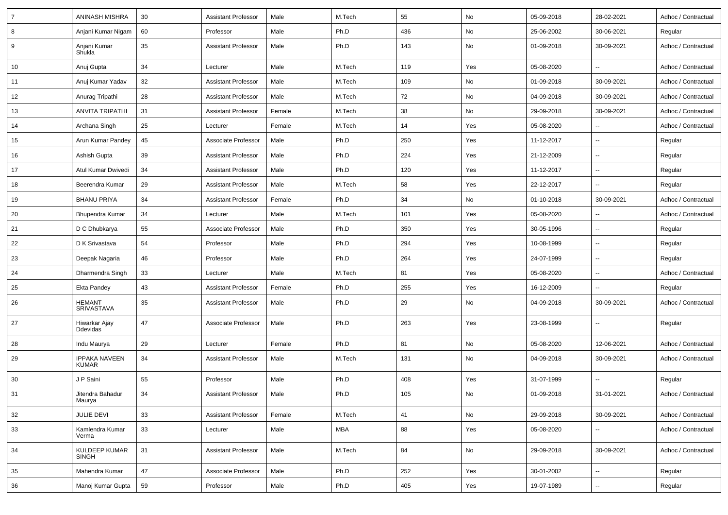| 7  | <b>ANINASH MISHRA</b>                | 30 | <b>Assistant Professor</b> | Male   | M.Tech     | 55  | No            | 05-09-2018 | 28-02-2021               | Adhoc / Contractual |
|----|--------------------------------------|----|----------------------------|--------|------------|-----|---------------|------------|--------------------------|---------------------|
| 8  | Anjani Kumar Nigam                   | 60 | Professor                  | Male   | Ph.D       | 436 | No            | 25-06-2002 | 30-06-2021               | Regular             |
| 9  | Anjani Kumar<br>Shukla               | 35 | <b>Assistant Professor</b> | Male   | Ph.D       | 143 | No            | 01-09-2018 | 30-09-2021               | Adhoc / Contractual |
| 10 | Anuj Gupta                           | 34 | Lecturer                   | Male   | M.Tech     | 119 | Yes           | 05-08-2020 | Ξ.                       | Adhoc / Contractual |
| 11 | Anuj Kumar Yadav                     | 32 | <b>Assistant Professor</b> | Male   | M.Tech     | 109 | No            | 01-09-2018 | 30-09-2021               | Adhoc / Contractual |
| 12 | Anurag Tripathi                      | 28 | <b>Assistant Professor</b> | Male   | M.Tech     | 72  | No            | 04-09-2018 | 30-09-2021               | Adhoc / Contractual |
| 13 | <b>ANVITA TRIPATHI</b>               | 31 | <b>Assistant Professor</b> | Female | M.Tech     | 38  | No            | 29-09-2018 | 30-09-2021               | Adhoc / Contractual |
| 14 | Archana Singh                        | 25 | Lecturer                   | Female | M.Tech     | 14  | Yes           | 05-08-2020 | $\overline{\phantom{a}}$ | Adhoc / Contractual |
| 15 | Arun Kumar Pandey                    | 45 | Associate Professor        | Male   | Ph.D       | 250 | Yes           | 11-12-2017 | $\overline{\phantom{a}}$ | Regular             |
| 16 | Ashish Gupta                         | 39 | <b>Assistant Professor</b> | Male   | Ph.D       | 224 | Yes           | 21-12-2009 | $\mathbf{u}$             | Regular             |
| 17 | Atul Kumar Dwivedi                   | 34 | <b>Assistant Professor</b> | Male   | Ph.D       | 120 | Yes           | 11-12-2017 | $\overline{\phantom{a}}$ | Regular             |
| 18 | Beerendra Kumar                      | 29 | <b>Assistant Professor</b> | Male   | M.Tech     | 58  | Yes           | 22-12-2017 | $\ddotsc$                | Regular             |
| 19 | <b>BHANU PRIYA</b>                   | 34 | <b>Assistant Professor</b> | Female | Ph.D       | 34  | No            | 01-10-2018 | 30-09-2021               | Adhoc / Contractual |
| 20 | Bhupendra Kumar                      | 34 | Lecturer                   | Male   | M.Tech     | 101 | Yes           | 05-08-2020 | --                       | Adhoc / Contractual |
| 21 | D C Dhubkarya                        | 55 | Associate Professor        | Male   | Ph.D       | 350 | Yes           | 30-05-1996 | $\mathbf{u}$             | Regular             |
| 22 | D K Srivastava                       | 54 | Professor                  | Male   | Ph.D       | 294 | Yes           | 10-08-1999 | $\overline{\phantom{a}}$ | Regular             |
| 23 | Deepak Nagaria                       | 46 | Professor                  | Male   | Ph.D       | 264 | Yes           | 24-07-1999 | $\overline{\phantom{a}}$ | Regular             |
| 24 | Dharmendra Singh                     | 33 | Lecturer                   | Male   | M.Tech     | 81  | Yes           | 05-08-2020 | $\overline{\phantom{a}}$ | Adhoc / Contractual |
| 25 | <b>Ekta Pandey</b>                   | 43 | <b>Assistant Professor</b> | Female | Ph.D       | 255 | Yes           | 16-12-2009 | Ξ.                       | Regular             |
| 26 | <b>HEMANT</b><br><b>SRIVASTAVA</b>   | 35 | <b>Assistant Professor</b> | Male   | Ph.D       | 29  | No            | 04-09-2018 | 30-09-2021               | Adhoc / Contractual |
| 27 | Hiwarkar Ajay<br>Ddevidas            | 47 | Associate Professor        | Male   | Ph.D       | 263 | Yes           | 23-08-1999 | $\overline{\phantom{a}}$ | Regular             |
| 28 | Indu Maurya                          | 29 | Lecturer                   | Female | Ph.D       | 81  | No            | 05-08-2020 | 12-06-2021               | Adhoc / Contractual |
| 29 | <b>IPPAKA NAVEEN</b><br><b>KUMAR</b> | 34 | <b>Assistant Professor</b> | Male   | M.Tech     | 131 | No            | 04-09-2018 | 30-09-2021               | Adhoc / Contractual |
| 30 | J P Saini                            | 55 | Professor                  | Male   | Ph.D       | 408 | Yes           | 31-07-1999 | $\sim$                   | Regular             |
| 31 | Jitendra Bahadur<br>Maurya           | 34 | <b>Assistant Professor</b> | Male   | Ph.D       | 105 | No            | 01-09-2018 | 31-01-2021               | Adhoc / Contractual |
| 32 | JULIE DEVI                           | 33 | <b>Assistant Professor</b> | Female | M.Tech     | 41  | $\mathsf{No}$ | 29-09-2018 | 30-09-2021               | Adhoc / Contractual |
| 33 | Kamlendra Kumar<br>Verma             | 33 | Lecturer                   | Male   | <b>MBA</b> | 88  | Yes           | 05-08-2020 | $\sim$                   | Adhoc / Contractual |
| 34 | KULDEEP KUMAR<br><b>SINGH</b>        | 31 | <b>Assistant Professor</b> | Male   | M.Tech     | 84  | No            | 29-09-2018 | 30-09-2021               | Adhoc / Contractual |
| 35 | Mahendra Kumar                       | 47 | Associate Professor        | Male   | Ph.D       | 252 | Yes           | 30-01-2002 | $\mathbf{u}$             | Regular             |
| 36 | Manoj Kumar Gupta                    | 59 | Professor                  | Male   | Ph.D       | 405 | Yes           | 19-07-1989 | $\overline{\phantom{a}}$ | Regular             |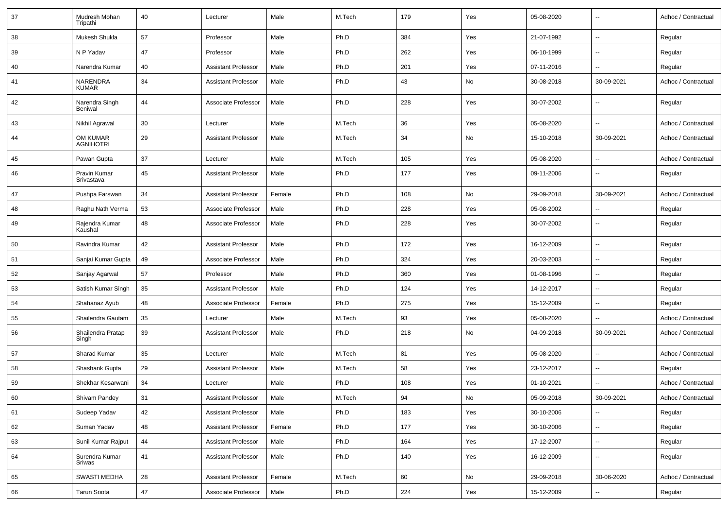| 37 | Mudresh Mohan<br>Tripathi    | 40 | Lecturer                   | Male   | M.Tech | 179               | Yes           | 05-08-2020 | $\overline{\phantom{a}}$ | Adhoc / Contractual |
|----|------------------------------|----|----------------------------|--------|--------|-------------------|---------------|------------|--------------------------|---------------------|
| 38 | Mukesh Shukla                | 57 | Professor                  | Male   | Ph.D   | 384               | Yes           | 21-07-1992 | $\overline{\phantom{a}}$ | Regular             |
| 39 | N P Yadav                    | 47 | Professor                  | Male   | Ph.D   | 262               | Yes           | 06-10-1999 | $\overline{\phantom{a}}$ | Regular             |
| 40 | Narendra Kumar               | 40 | <b>Assistant Professor</b> | Male   | Ph.D   | 201               | Yes           | 07-11-2016 | $\mathbf{u}$             | Regular             |
| 41 | NARENDRA<br><b>KUMAR</b>     | 34 | <b>Assistant Professor</b> | Male   | Ph.D   | 43                | No            | 30-08-2018 | 30-09-2021               | Adhoc / Contractual |
| 42 | Narendra Singh<br>Beniwal    | 44 | Associate Professor        | Male   | Ph.D   | 228               | Yes           | 30-07-2002 | $\overline{\phantom{a}}$ | Regular             |
| 43 | Nikhil Agrawal               | 30 | Lecturer                   | Male   | M.Tech | 36                | Yes           | 05-08-2020 | $\overline{\phantom{a}}$ | Adhoc / Contractual |
| 44 | OM KUMAR<br><b>AGNIHOTRI</b> | 29 | <b>Assistant Professor</b> | Male   | M.Tech | 34                | No            | 15-10-2018 | 30-09-2021               | Adhoc / Contractual |
| 45 | Pawan Gupta                  | 37 | Lecturer                   | Male   | M.Tech | 105               | Yes           | 05-08-2020 | $\overline{\phantom{a}}$ | Adhoc / Contractual |
| 46 | Pravin Kumar<br>Srivastava   | 45 | <b>Assistant Professor</b> | Male   | Ph.D   | 177               | Yes           | 09-11-2006 | $\sim$                   | Regular             |
| 47 | Pushpa Farswan               | 34 | <b>Assistant Professor</b> | Female | Ph.D   | 108               | No            | 29-09-2018 | 30-09-2021               | Adhoc / Contractual |
| 48 | Raghu Nath Verma             | 53 | Associate Professor        | Male   | Ph.D   | 228               | Yes           | 05-08-2002 | $\overline{\phantom{a}}$ | Regular             |
| 49 | Rajendra Kumar<br>Kaushal    | 48 | Associate Professor        | Male   | Ph.D   | 228               | Yes           | 30-07-2002 | $\overline{\phantom{a}}$ | Regular             |
| 50 | Ravindra Kumar               | 42 | <b>Assistant Professor</b> | Male   | Ph.D   | 172               | Yes           | 16-12-2009 | $\overline{\phantom{a}}$ | Regular             |
| 51 | Sanjai Kumar Gupta           | 49 | Associate Professor        | Male   | Ph.D   | 324               | Yes           | 20-03-2003 | $\overline{\phantom{a}}$ | Regular             |
| 52 | Sanjay Agarwal               | 57 | Professor                  | Male   | Ph.D   | 360               | Yes           | 01-08-1996 | $\overline{\phantom{a}}$ | Regular             |
| 53 | Satish Kumar Singh           | 35 | <b>Assistant Professor</b> | Male   | Ph.D   | 124               | Yes           | 14-12-2017 | $\overline{\phantom{a}}$ | Regular             |
| 54 | Shahanaz Ayub                | 48 | Associate Professor        | Female | Ph.D   | 275               | Yes           | 15-12-2009 | $\sim$                   | Regular             |
| 55 | Shailendra Gautam            | 35 | Lecturer                   | Male   | M.Tech | 93                | Yes           | 05-08-2020 | $\overline{\phantom{a}}$ | Adhoc / Contractual |
| 56 | Shailendra Pratap<br>Singh   | 39 | <b>Assistant Professor</b> | Male   | Ph.D   | 218               | No            | 04-09-2018 | 30-09-2021               | Adhoc / Contractual |
| 57 | Sharad Kumar                 | 35 | Lecturer                   | Male   | M.Tech | 81                | Yes           | 05-08-2020 | $\overline{\phantom{a}}$ | Adhoc / Contractual |
| 58 | Shashank Gupta               | 29 | <b>Assistant Professor</b> | Male   | M.Tech | 58                | Yes           | 23-12-2017 | $\mathbf{u}$             | Regular             |
| 59 | Shekhar Kesarwani            | 34 | Lecturer                   | Male   | Ph.D   | 108               | Yes           | 01-10-2021 | $\overline{\phantom{a}}$ | Adhoc / Contractual |
| 60 | Shivam Pandey                | 31 | Assistant Professor        | Male   | M.Tech | $\ensuremath{94}$ | $\mathsf{No}$ | 05-09-2018 | 30-09-2021               | Adhoc / Contractual |
| 61 | Sudeep Yadav                 | 42 | <b>Assistant Professor</b> | Male   | Ph.D   | 183               | Yes           | 30-10-2006 | Ξ.                       | Regular             |
| 62 | Suman Yadav                  | 48 | Assistant Professor        | Female | Ph.D   | 177               | Yes           | 30-10-2006 | $\overline{\phantom{a}}$ | Regular             |
| 63 | Sunil Kumar Rajput           | 44 | Assistant Professor        | Male   | Ph.D   | 164               | Yes           | 17-12-2007 | $\overline{\phantom{a}}$ | Regular             |
| 64 | Surendra Kumar<br>Sriwas     | 41 | <b>Assistant Professor</b> | Male   | Ph.D   | 140               | Yes           | 16-12-2009 | $\sim$                   | Regular             |
| 65 | SWASTI MEDHA                 | 28 | <b>Assistant Professor</b> | Female | M.Tech | 60                | No            | 29-09-2018 | 30-06-2020               | Adhoc / Contractual |
| 66 | Tarun Soota                  | 47 | Associate Professor        | Male   | Ph.D   | 224               | Yes           | 15-12-2009 | $\overline{\phantom{a}}$ | Regular             |